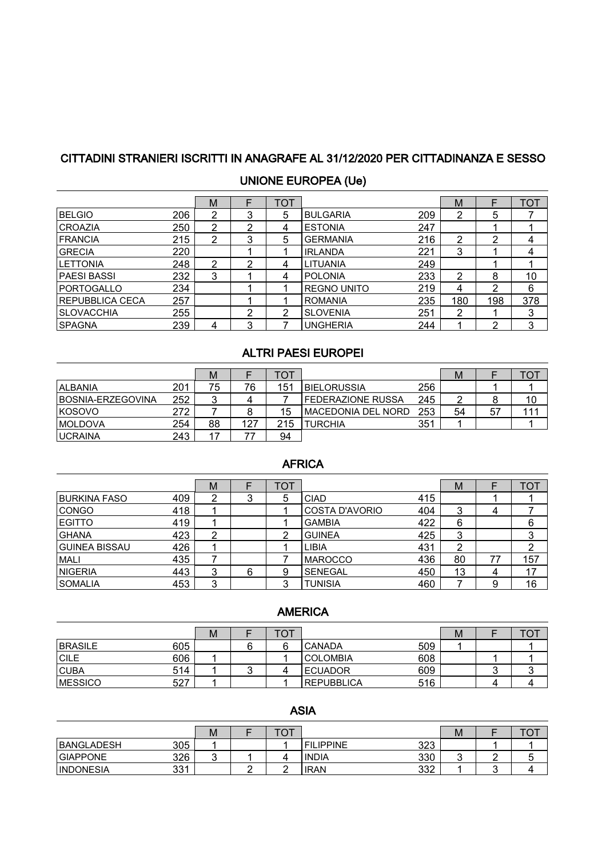## CITTADINI STRANIERI ISCRITTI IN ANAGRAFE AL 31/12/2020 PER CITTADINANZA E SESSO

| <b>UNIONE EUROPEA (Ue)</b> |
|----------------------------|
|                            |

|                        |     | M |   | TOT |                    |     | М   |     | <b>TOT</b> |
|------------------------|-----|---|---|-----|--------------------|-----|-----|-----|------------|
| <b>BELGIO</b>          | 206 | 2 | 3 | 5   | <b>BULGARIA</b>    | 209 | 2   | 5   |            |
| <b>CROAZIA</b>         | 250 | 2 | າ | 4   | <b>ESTONIA</b>     | 247 |     |     |            |
| <b>FRANCIA</b>         | 215 | 2 | 3 | 5   | <b>GERMANIA</b>    | 216 | 2   | າ   |            |
| <b>GRECIA</b>          | 220 |   |   |     | <b>IRLANDA</b>     | 221 | 3   |     |            |
| <b>ILETTONIA</b>       | 248 | 2 | າ | 4   | LITUANIA           | 249 |     |     |            |
| PAESI BASSI            | 232 | 3 |   | 4   | <b>POLONIA</b>     | 233 | 2   | 8   | 10         |
| PORTOGALLO             | 234 |   |   |     | <b>REGNO UNITO</b> | 219 | 4   | っ   | 6          |
| <b>REPUBBLICA CECA</b> | 257 |   |   |     | <b>ROMANIA</b>     | 235 | 180 | 198 | 378        |
| <b>SLOVACCHIA</b>      | 255 |   | າ | າ   | <b>SLOVENIA</b>    | 251 | 2   |     | 3          |
| <b>SPAGNA</b>          | 239 | 4 | 3 |     | <b>UNGHERIA</b>    | 244 |     | ◠   | 3          |

## ALTRI PAESI EUROPEI

|                    |     | М  |     | тот |                     |     | м  |     |     |
|--------------------|-----|----|-----|-----|---------------------|-----|----|-----|-----|
| ALBANIA            | 201 | 75 | 76  | 151 | <b>IBIELORUSSIA</b> | 256 |    |     |     |
| IBOSNIA-ERZEGOVINA | 252 |    |     |     | l FEDERAZIONE RUSSA | 245 |    |     |     |
| <b>KOSOVO</b>      | 272 |    |     | 15  | IMACEDONIA DEL NORD | 253 | 54 | -57 | 111 |
| <b>IMOLDOVA</b>    | 254 | 88 | 127 | 215 | <b>TURCHIA</b>      | 351 |    |     |     |
| <b>UCRAINA</b>     | 243 |    |     | 94  |                     |     |    |     |     |

## AFRICA

|                      |     | м |   | וסד |                |     | M  |    | TOT |
|----------------------|-----|---|---|-----|----------------|-----|----|----|-----|
| <b>BURKINA FASO</b>  | 409 | 2 | د | 5   | <b>CIAD</b>    | 415 |    |    |     |
| <b>CONGO</b>         | 418 |   |   |     | COSTA D'AVORIO | 404 | 3  |    |     |
| <b>EGITTO</b>        | 419 |   |   |     | <b>GAMBIA</b>  | 422 | 6  |    | 6   |
| <b>GHANA</b>         | 423 | ◠ |   |     | <b>GUINEA</b>  | 425 | 3  |    | 3   |
| <b>GUINEA BISSAU</b> | 426 |   |   |     | LIBIA          | 431 | ◠  |    | 2   |
| MALI                 | 435 |   |   |     | IMAROCCO       | 436 | 80 | 77 | 157 |
| <b>NIGERIA</b>       | 443 | 3 | 6 | 9   | <b>SENEGAL</b> | 450 | 13 | 4  | 17  |
| <b>SOMALIA</b>       | 453 | 3 |   |     | <b>TUNISIA</b> | 460 |    | a  | 16  |

#### **AMERICA**

|                 |     | M | ◡ |                    |     | М | ັ |
|-----------------|-----|---|---|--------------------|-----|---|---|
| <b>BRASILE</b>  | 605 |   | ຨ | ICANADA            | 509 |   |   |
| <b>CILE</b>     | 606 |   |   | ICOLOMBIA          | 608 |   |   |
| <b>CUBA</b>     | 514 |   |   | <b>IECUADOR</b>    | 609 |   |   |
| <b>IMESSICO</b> | 527 |   |   | <b>IREPUBBLICA</b> | 516 |   |   |

### ASIA

|                   |     | M      | $\check{ }$ |                   |            | М | 〜 |
|-------------------|-----|--------|-------------|-------------------|------------|---|---|
| <b>BANGLADESH</b> | 305 |        |             | <b>IFILIPPINE</b> | כרכ<br>ں∠ں |   |   |
| <b>GIAPPONE</b>   | 326 | ◠<br>ີ |             | <b>INDIA</b>      | 330        |   |   |
| <b>INDONESIA</b>  | 331 |        |             | <b>IRAN</b>       | ふび<br>ےںں  |   |   |